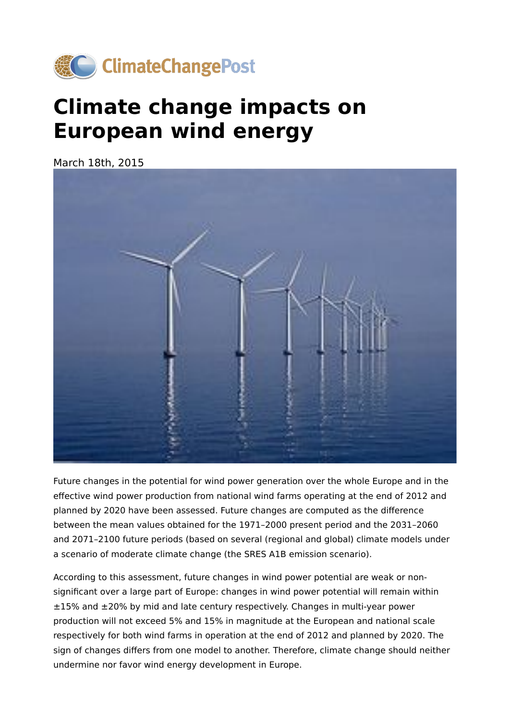

## **Climate change impacts on European wind energy**

March 18th, 2015



Future changes in the potential for wind power generation over the whole Europe and in the effective wind power production from national wind farms operating at the end of 2012 and planned by 2020 have been assessed. Future changes are computed as the difference between the mean values obtained for the 1971–2000 present period and the 2031–2060 and 2071–2100 future periods (based on several (regional and global) climate models under a scenario of moderate climate change (the SRES A1B emission scenario).

According to this assessment, future changes in wind power potential are weak or nonsignificant over a large part of Europe: changes in wind power potential will remain within ±15% and ±20% by mid and late century respectively. Changes in multi-year power production will not exceed 5% and 15% in magnitude at the European and national scale respectively for both wind farms in operation at the end of 2012 and planned by 2020. The sign of changes differs from one model to another. Therefore, climate change should neither undermine nor favor wind energy development in Europe.